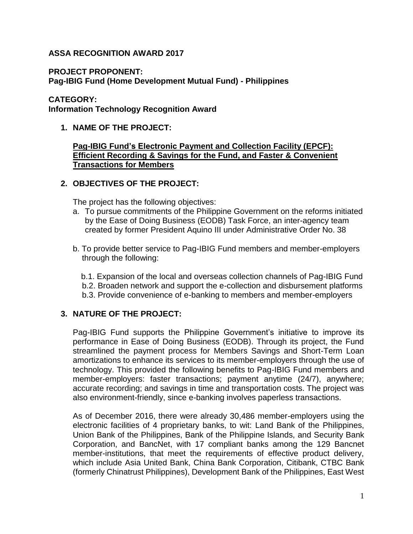#### **ASSA RECOGNITION AWARD 2017**

#### **PROJECT PROPONENT:**

**Pag-IBIG Fund (Home Development Mutual Fund) - Philippines**

#### **CATEGORY:**

**Information Technology Recognition Award**

**1. NAME OF THE PROJECT:** 

#### **Pag-IBIG Fund's Electronic Payment and Collection Facility (EPCF): Efficient Recording & Savings for the Fund, and Faster & Convenient Transactions for Members**

## **2. OBJECTIVES OF THE PROJECT:**

The project has the following objectives:

- a. To pursue commitments of the Philippine Government on the reforms initiated by the Ease of Doing Business (EODB) Task Force, an inter-agency team created by former President Aquino III under Administrative Order No. 38
- b. To provide better service to Pag-IBIG Fund members and member-employers through the following:
	- b.1. Expansion of the local and overseas collection channels of Pag-IBIG Fund
	- b.2. Broaden network and support the e-collection and disbursement platforms
	- b.3. Provide convenience of e-banking to members and member-employers

## **3. NATURE OF THE PROJECT:**

Pag-IBIG Fund supports the Philippine Government's initiative to improve its performance in Ease of Doing Business (EODB). Through its project, the Fund streamlined the payment process for Members Savings and Short-Term Loan amortizations to enhance its services to its member-employers through the use of technology. This provided the following benefits to Pag-IBIG Fund members and member-employers: faster transactions; payment anytime (24/7), anywhere; accurate recording; and savings in time and transportation costs. The project was also environment-friendly, since e-banking involves paperless transactions.

As of December 2016, there were already 30,486 member-employers using the electronic facilities of 4 proprietary banks, to wit: Land Bank of the Philippines, Union Bank of the Philippines, Bank of the Philippine Islands, and Security Bank Corporation, and BancNet, with 17 compliant banks among the 129 Bancnet member-institutions, that meet the requirements of effective product delivery, which include Asia United Bank, China Bank Corporation, Citibank, CTBC Bank (formerly Chinatrust Philippines), Development Bank of the Philippines, East West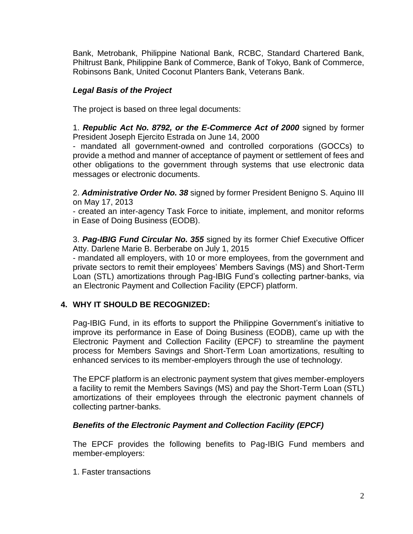Bank, Metrobank, Philippine National Bank, RCBC, Standard Chartered Bank, Philtrust Bank, Philippine Bank of Commerce, Bank of Tokyo, Bank of Commerce, Robinsons Bank, United Coconut Planters Bank, Veterans Bank.

## *Legal Basis of the Project*

The project is based on three legal documents:

1. *Republic Act No. 8792, or the E-Commerce Act of 2000* signed by former President Joseph Ejercito Estrada on June 14, 2000

- mandated all government-owned and controlled corporations (GOCCs) to provide a method and manner of acceptance of payment or settlement of fees and other obligations to the government through systems that use electronic data messages or electronic documents.

2. *Administrative Order No. 38* signed by former President Benigno S. Aquino III on May 17, 2013

- created an inter-agency Task Force to initiate, implement, and monitor reforms in Ease of Doing Business (EODB).

3. *Pag-IBIG Fund Circular No. 355* signed by its former Chief Executive Officer Atty. Darlene Marie B. Berberabe on July 1, 2015

- mandated all employers, with 10 or more employees, from the government and private sectors to remit their employees' Members Savings (MS) and Short-Term Loan (STL) amortizations through Pag-IBIG Fund's collecting partner-banks, via an Electronic Payment and Collection Facility (EPCF) platform.

# **4. WHY IT SHOULD BE RECOGNIZED:**

Pag-IBIG Fund, in its efforts to support the Philippine Government's initiative to improve its performance in Ease of Doing Business (EODB), came up with the Electronic Payment and Collection Facility (EPCF) to streamline the payment process for Members Savings and Short-Term Loan amortizations, resulting to enhanced services to its member-employers through the use of technology.

The EPCF platform is an electronic payment system that gives member-employers a facility to remit the Members Savings (MS) and pay the Short-Term Loan (STL) amortizations of their employees through the electronic payment channels of collecting partner-banks.

## *Benefits of the Electronic Payment and Collection Facility (EPCF)*

The EPCF provides the following benefits to Pag-IBIG Fund members and member-employers:

1. Faster transactions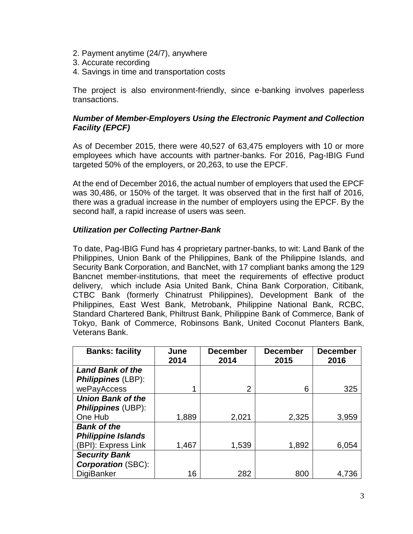- 2. Payment anytime (24/7), anywhere
- 3. Accurate recording
- 4. Savings in time and transportation costs

The project is also environment-friendly, since e-banking involves paperless transactions.

#### *Number of Member-Employers Using the Electronic Payment and Collection Facility (EPCF)*

As of December 2015, there were 40,527 of 63,475 employers with 10 or more employees which have accounts with partner-banks. For 2016, Pag-IBIG Fund targeted 50% of the employers, or 20,263, to use the EPCF.

At the end of December 2016, the actual number of employers that used the EPCF was 30,486, or 150% of the target. It was observed that in the first half of 2016, there was a gradual increase in the number of employers using the EPCF. By the second half, a rapid increase of users was seen.

#### *Utilization per Collecting Partner-Bank*

To date, Pag-IBIG Fund has 4 proprietary partner-banks, to wit: Land Bank of the Philippines, Union Bank of the Philippines, Bank of the Philippine Islands, and Security Bank Corporation, and BancNet, with 17 compliant banks among the 129 Bancnet member-institutions, that meet the requirements of effective product delivery, which include Asia United Bank, China Bank Corporation, Citibank, CTBC Bank (formerly Chinatrust Philippines), Development Bank of the Philippines, East West Bank, Metrobank, Philippine National Bank, RCBC, Standard Chartered Bank, Philtrust Bank, Philippine Bank of Commerce, Bank of Tokyo, Bank of Commerce, Robinsons Bank, United Coconut Planters Bank, Veterans Bank.

| <b>Banks: facility</b>    | June<br>2014 | <b>December</b><br>2014 | <b>December</b><br>2015 | <b>December</b><br>2016 |
|---------------------------|--------------|-------------------------|-------------------------|-------------------------|
| <b>Land Bank of the</b>   |              |                         |                         |                         |
| <b>Philippines (LBP):</b> |              |                         |                         |                         |
| wePayAccess               |              | $\overline{2}$          | 6                       | 325                     |
| <b>Union Bank of the</b>  |              |                         |                         |                         |
| <b>Philippines (UBP):</b> |              |                         |                         |                         |
| One Hub                   | 1,889        | 2,021                   | 2,325                   | 3,959                   |
| <b>Bank of the</b>        |              |                         |                         |                         |
| <b>Philippine Islands</b> |              |                         |                         |                         |
| (BPI): Express Link       | 1,467        | 1,539                   | 1,892                   | 6,054                   |
| <b>Security Bank</b>      |              |                         |                         |                         |
| <b>Corporation (SBC):</b> |              |                         |                         |                         |
| DigiBanker                | 16           | 282                     | 800                     | 4,736                   |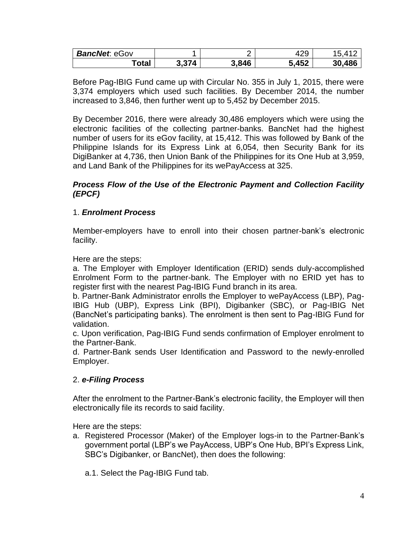| <b>BancNet: eGov</b> |                       |       | ∶ספ<br>4∠১ |        |
|----------------------|-----------------------|-------|------------|--------|
| ™otal                | 3,374<br>J.J <i>I</i> | 3,846 | 5,452      | 30,486 |

Before Pag-IBIG Fund came up with Circular No. 355 in July 1, 2015, there were 3,374 employers which used such facilities. By December 2014, the number increased to 3,846, then further went up to 5,452 by December 2015.

By December 2016, there were already 30,486 employers which were using the electronic facilities of the collecting partner-banks. BancNet had the highest number of users for its eGov facility, at 15,412. This was followed by Bank of the Philippine Islands for its Express Link at 6,054, then Security Bank for its DigiBanker at 4,736, then Union Bank of the Philippines for its One Hub at 3,959, and Land Bank of the Philippines for its wePayAccess at 325.

#### *Process Flow of the Use of the Electronic Payment and Collection Facility (EPCF)*

## 1. *Enrolment Process*

Member-employers have to enroll into their chosen partner-bank's electronic facility.

Here are the steps:

a. The Employer with Employer Identification (ERID) sends duly-accomplished Enrolment Form to the partner-bank. The Employer with no ERID yet has to register first with the nearest Pag-IBIG Fund branch in its area.

b. Partner-Bank Administrator enrolls the Employer to wePayAccess (LBP), Pag-IBIG Hub (UBP), Express Link (BPI), Digibanker (SBC), or Pag-IBIG Net (BancNet's participating banks). The enrolment is then sent to Pag-IBIG Fund for validation.

c. Upon verification, Pag-IBIG Fund sends confirmation of Employer enrolment to the Partner-Bank.

d. Partner-Bank sends User Identification and Password to the newly-enrolled Employer.

## 2. *e-Filing Process*

After the enrolment to the Partner-Bank's electronic facility, the Employer will then electronically file its records to said facility.

Here are the steps:

- a. Registered Processor (Maker) of the Employer logs-in to the Partner-Bank's government portal (LBP's we PayAccess, UBP's One Hub, BPI's Express Link, SBC's Digibanker, or BancNet), then does the following:
	- a.1. Select the Pag-IBIG Fund tab.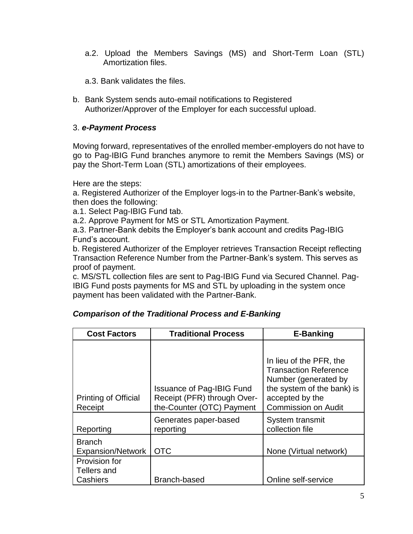a.2. Upload the Members Savings (MS) and Short-Term Loan (STL) Amortization files.

a.3. Bank validates the files.

b. Bank System sends auto-email notifications to Registered Authorizer/Approver of the Employer for each successful upload.

## 3. *e-Payment Process*

Moving forward, representatives of the enrolled member-employers do not have to go to Pag-IBIG Fund branches anymore to remit the Members Savings (MS) or pay the Short-Term Loan (STL) amortizations of their employees.

Here are the steps:

a. Registered Authorizer of the Employer logs-in to the Partner-Bank's website, then does the following:

a.1. Select Pag-IBIG Fund tab.

a.2. Approve Payment for MS or STL Amortization Payment.

a.3. Partner-Bank debits the Employer's bank account and credits Pag-IBIG Fund's account.

b. Registered Authorizer of the Employer retrieves Transaction Receipt reflecting Transaction Reference Number from the Partner-Bank's system. This serves as proof of payment.

c. MS/STL collection files are sent to Pag-IBIG Fund via Secured Channel. Pag-IBIG Fund posts payments for MS and STL by uploading in the system once payment has been validated with the Partner-Bank.

| <b>Cost Factors</b>                       | <b>Traditional Process</b>                                                                   | <b>E-Banking</b>                                                                                                                                               |  |
|-------------------------------------------|----------------------------------------------------------------------------------------------|----------------------------------------------------------------------------------------------------------------------------------------------------------------|--|
| <b>Printing of Official</b><br>Receipt    | <b>Issuance of Pag-IBIG Fund</b><br>Receipt (PFR) through Over-<br>the-Counter (OTC) Payment | In lieu of the PFR, the<br><b>Transaction Reference</b><br>Number (generated by<br>the system of the bank) is<br>accepted by the<br><b>Commission on Audit</b> |  |
| Reporting                                 | Generates paper-based<br>reporting                                                           | System transmit<br>collection file                                                                                                                             |  |
| <b>Branch</b><br><b>Expansion/Network</b> | <b>OTC</b>                                                                                   | None (Virtual network)                                                                                                                                         |  |
| Provision for<br>Tellers and<br>Cashiers  | Branch-based                                                                                 | Online self-service                                                                                                                                            |  |

# *Comparison of the Traditional Process and E-Banking*